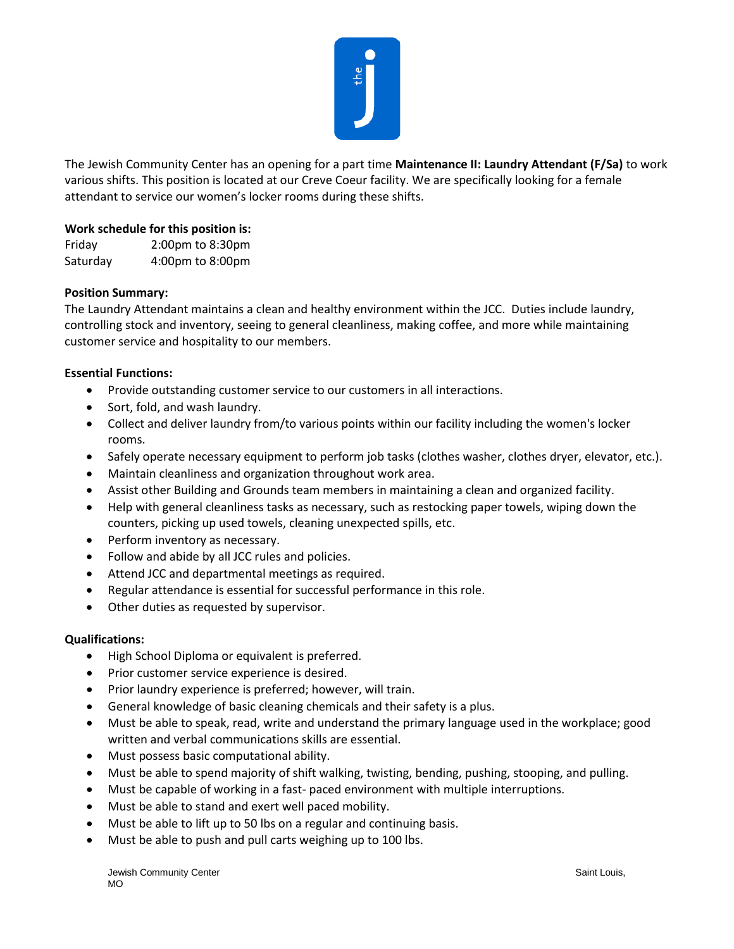

The Jewish Community Center has an opening for a part time **Maintenance II: Laundry Attendant (F/Sa)** to work various shifts. This position is located at our Creve Coeur facility. We are specifically looking for a female attendant to service our women's locker rooms during these shifts.

# **Work schedule for this position is:**

Friday 2:00pm to 8:30pm Saturday 4:00pm to 8:00pm

## **Position Summary:**

The Laundry Attendant maintains a clean and healthy environment within the JCC. Duties include laundry, controlling stock and inventory, seeing to general cleanliness, making coffee, and more while maintaining customer service and hospitality to our members.

### **Essential Functions:**

- Provide outstanding customer service to our customers in all interactions.
- Sort, fold, and wash laundry.
- Collect and deliver laundry from/to various points within our facility including the women's locker rooms.
- Safely operate necessary equipment to perform job tasks (clothes washer, clothes dryer, elevator, etc.).
- Maintain cleanliness and organization throughout work area.
- Assist other Building and Grounds team members in maintaining a clean and organized facility.
- Help with general cleanliness tasks as necessary, such as restocking paper towels, wiping down the counters, picking up used towels, cleaning unexpected spills, etc.
- Perform inventory as necessary.
- Follow and abide by all JCC rules and policies.
- Attend JCC and departmental meetings as required.
- Regular attendance is essential for successful performance in this role.
- Other duties as requested by supervisor.

### **Qualifications:**

- High School Diploma or equivalent is preferred.
- Prior customer service experience is desired.
- Prior laundry experience is preferred; however, will train.
- General knowledge of basic cleaning chemicals and their safety is a plus.
- Must be able to speak, read, write and understand the primary language used in the workplace; good written and verbal communications skills are essential.
- Must possess basic computational ability.
- Must be able to spend majority of shift walking, twisting, bending, pushing, stooping, and pulling.
- Must be capable of working in a fast- paced environment with multiple interruptions.
- Must be able to stand and exert well paced mobility.
- Must be able to lift up to 50 lbs on a regular and continuing basis.
- Must be able to push and pull carts weighing up to 100 lbs.